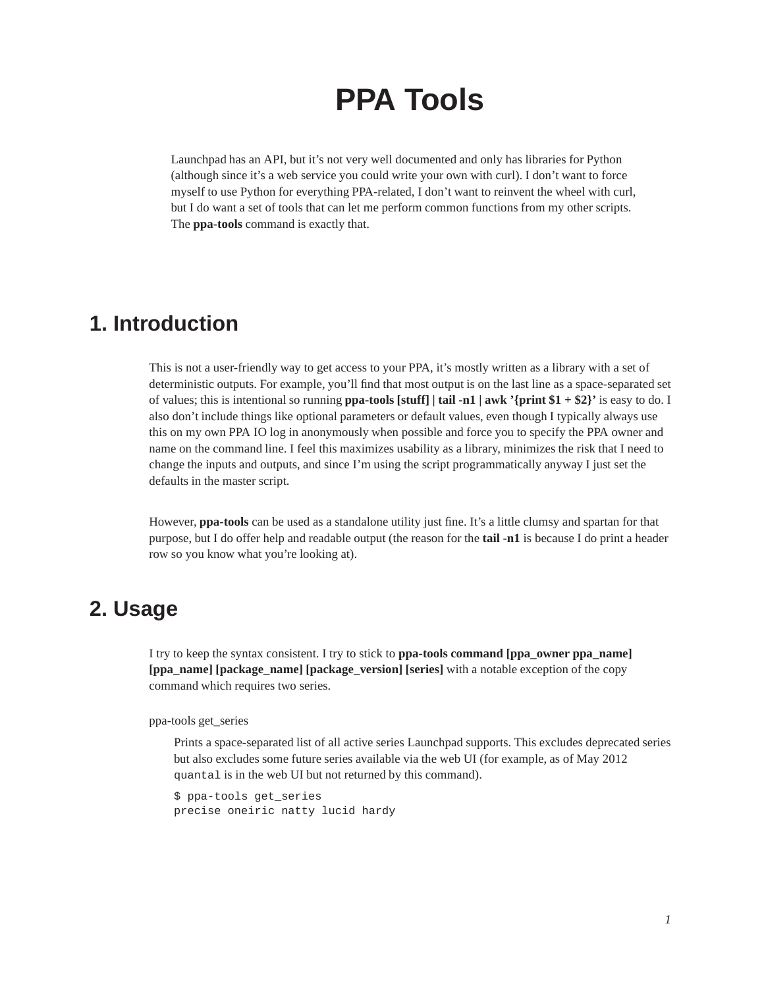# **PPA Tools**

Launchpad has an API, but it's not very well documented and only has libraries for Python (although since it's a web service you could write your own with curl). I don't want to force myself to use Python for everything PPA-related, I don't want to reinvent the wheel with curl, but I do want a set of tools that can let me perform common functions from my other scripts. The **ppa-tools** command is exactly that.

### **1. Introduction**

This is not a user-friendly way to get access to your PPA, it's mostly written as a library with a set of deterministic outputs. For example, you'll find that most output is on the last line as a space-separated set of values; this is intentional so running **ppa-tools [stuff] | tail -n1 | awk '{print \$1 + \$2}'** is easy to do. I also don't include things like optional parameters or default values, even though I typically always use this on my own PPA IO log in anonymously when possible and force you to specify the PPA owner and name on the command line. I feel this maximizes usability as a library, minimizes the risk that I need to change the inputs and outputs, and since I'm using the script programmatically anyway I just set the defaults in the master script.

However, **ppa-tools** can be used as a standalone utility just fine. It's a little clumsy and spartan for that purpose, but I do offer help and readable output (the reason for the **tail -n1** is because I do print a header row so you know what you're looking at).

#### **2. Usage**

I try to keep the syntax consistent. I try to stick to **ppa-tools command [ppa\_owner ppa\_name] [ppa\_name] [package\_name] [package\_version] [series]** with a notable exception of the copy command which requires two series.

ppa-tools get\_series

Prints a space-separated list of all active series Launchpad supports. This excludes deprecated series but also excludes some future series available via the web UI (for example, as of May 2012 quantal is in the web UI but not returned by this command).

```
$ ppa-tools get_series
precise oneiric natty lucid hardy
```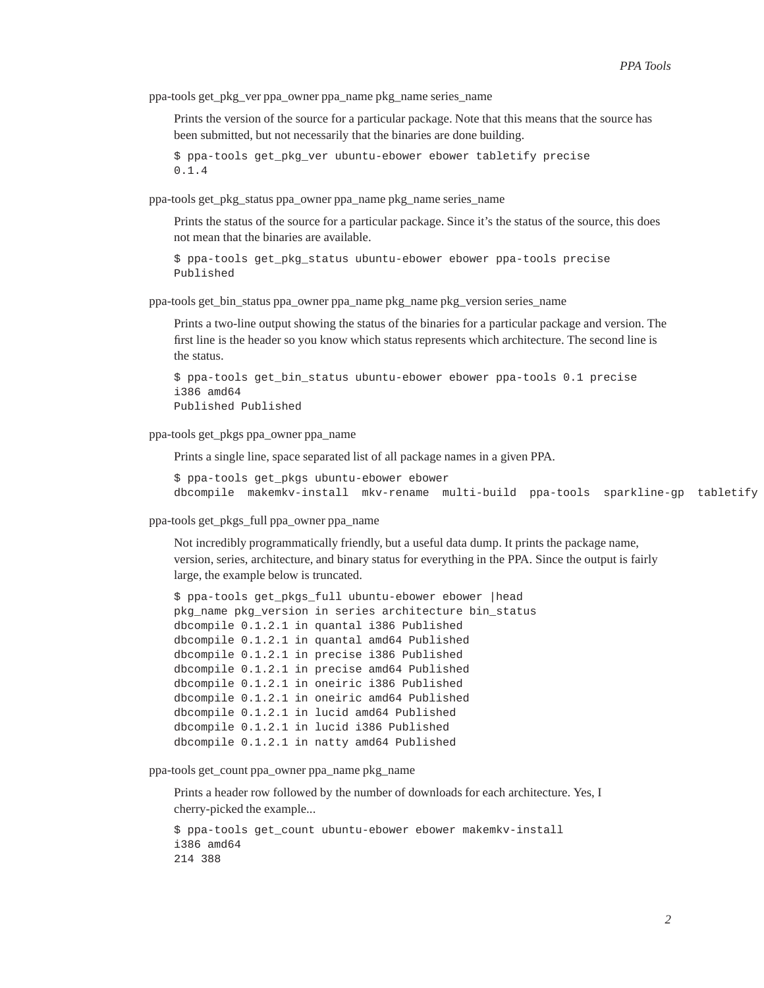ppa-tools get\_pkg\_ver ppa\_owner ppa\_name pkg\_name series\_name

Prints the version of the source for a particular package. Note that this means that the source has been submitted, but not necessarily that the binaries are done building.

```
$ ppa-tools get_pkg_ver ubuntu-ebower ebower tabletify precise
0.1.4
```
ppa-tools get\_pkg\_status ppa\_owner ppa\_name pkg\_name series\_name

Prints the status of the source for a particular package. Since it's the status of the source, this does not mean that the binaries are available.

\$ ppa-tools get\_pkg\_status ubuntu-ebower ebower ppa-tools precise Published

ppa-tools get\_bin\_status ppa\_owner ppa\_name pkg\_name pkg\_version series\_name

Prints a two-line output showing the status of the binaries for a particular package and version. The first line is the header so you know which status represents which architecture. The second line is the status.

```
$ ppa-tools get_bin_status ubuntu-ebower ebower ppa-tools 0.1 precise
i386 amd64
Published Published
```
ppa-tools get\_pkgs ppa\_owner ppa\_name

Prints a single line, space separated list of all package names in a given PPA.

\$ ppa-tools get\_pkgs ubuntu-ebower ebower dbcompile makemkv-install mkv-rename multi-build ppa-tools sparkline-gp tabletify

ppa-tools get\_pkgs\_full ppa\_owner ppa\_name

Not incredibly programmatically friendly, but a useful data dump. It prints the package name, version, series, architecture, and binary status for everything in the PPA. Since the output is fairly large, the example below is truncated.

```
$ ppa-tools get_pkgs_full ubuntu-ebower ebower |head
pkg_name pkg_version in series architecture bin_status
dbcompile 0.1.2.1 in quantal i386 Published
dbcompile 0.1.2.1 in quantal amd64 Published
dbcompile 0.1.2.1 in precise i386 Published
dbcompile 0.1.2.1 in precise amd64 Published
dbcompile 0.1.2.1 in oneiric i386 Published
dbcompile 0.1.2.1 in oneiric amd64 Published
dbcompile 0.1.2.1 in lucid amd64 Published
dbcompile 0.1.2.1 in lucid i386 Published
dbcompile 0.1.2.1 in natty amd64 Published
```
ppa-tools get\_count ppa\_owner ppa\_name pkg\_name

Prints a header row followed by the number of downloads for each architecture. Yes, I cherry-picked the example...

```
$ ppa-tools get_count ubuntu-ebower ebower makemkv-install
i386 amd64
214 388
```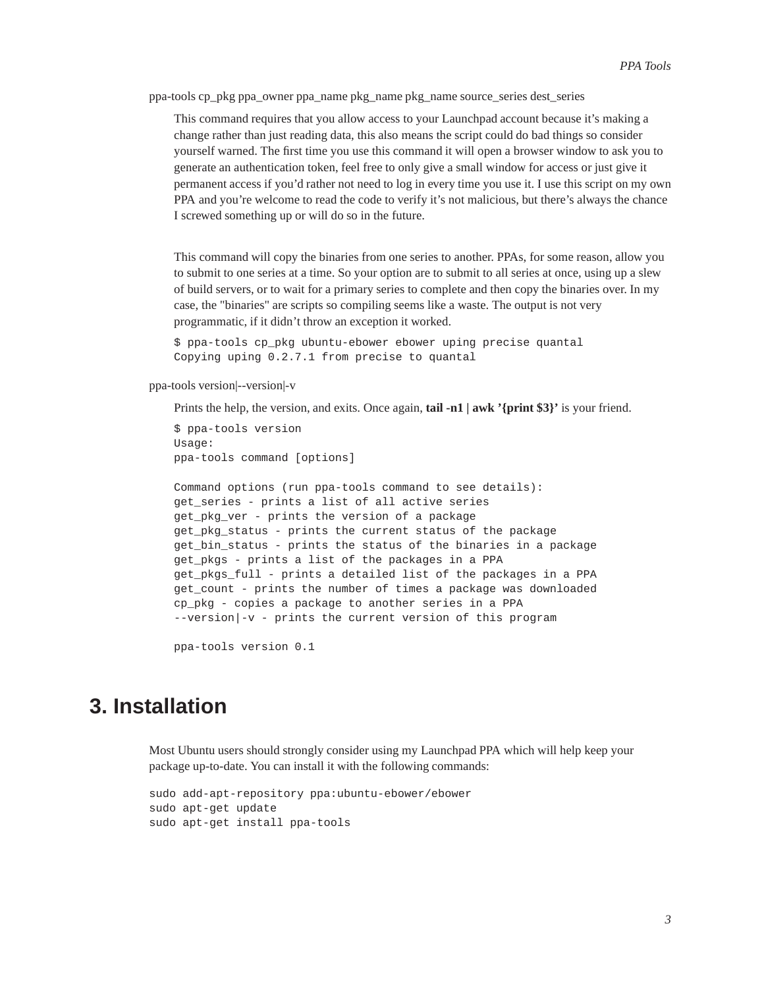ppa-tools cp\_pkg ppa\_owner ppa\_name pkg\_name pkg\_name source\_series dest\_series

This command requires that you allow access to your Launchpad account because it's making a change rather than just reading data, this also means the script could do bad things so consider yourself warned. The first time you use this command it will open a browser window to ask you to generate an authentication token, feel free to only give a small window for access or just give it permanent access if you'd rather not need to log in every time you use it. I use this script on my own PPA and you're welcome to read the code to verify it's not malicious, but there's always the chance I screwed something up or will do so in the future.

This command will copy the binaries from one series to another. PPAs, for some reason, allow you to submit to one series at a time. So your option are to submit to all series at once, using up a slew of build servers, or to wait for a primary series to complete and then copy the binaries over. In my case, the "binaries" are scripts so compiling seems like a waste. The output is not very programmatic, if it didn't throw an exception it worked.

\$ ppa-tools cp\_pkg ubuntu-ebower ebower uping precise quantal Copying uping 0.2.7.1 from precise to quantal

ppa-tools version|--version|-v

Prints the help, the version, and exits. Once again, **tail -n1 | awk '{print \$3}'** is your friend.

```
$ ppa-tools version
Usage:
ppa-tools command [options]
```

```
Command options (run ppa-tools command to see details):
get_series - prints a list of all active series
get_pkg_ver - prints the version of a package
get_pkg_status - prints the current status of the package
get_bin_status - prints the status of the binaries in a package
get_pkgs - prints a list of the packages in a PPA
get_pkgs_full - prints a detailed list of the packages in a PPA
get_count - prints the number of times a package was downloaded
cp_pkg - copies a package to another series in a PPA
--version|-v - prints the current version of this program
```
ppa-tools version 0.1

#### **3. Installation**

Most Ubuntu users should strongly consider using my Launchpad PPA which will help keep your package up-to-date. You can install it with the following commands:

```
sudo add-apt-repository ppa:ubuntu-ebower/ebower
sudo apt-get update
sudo apt-get install ppa-tools
```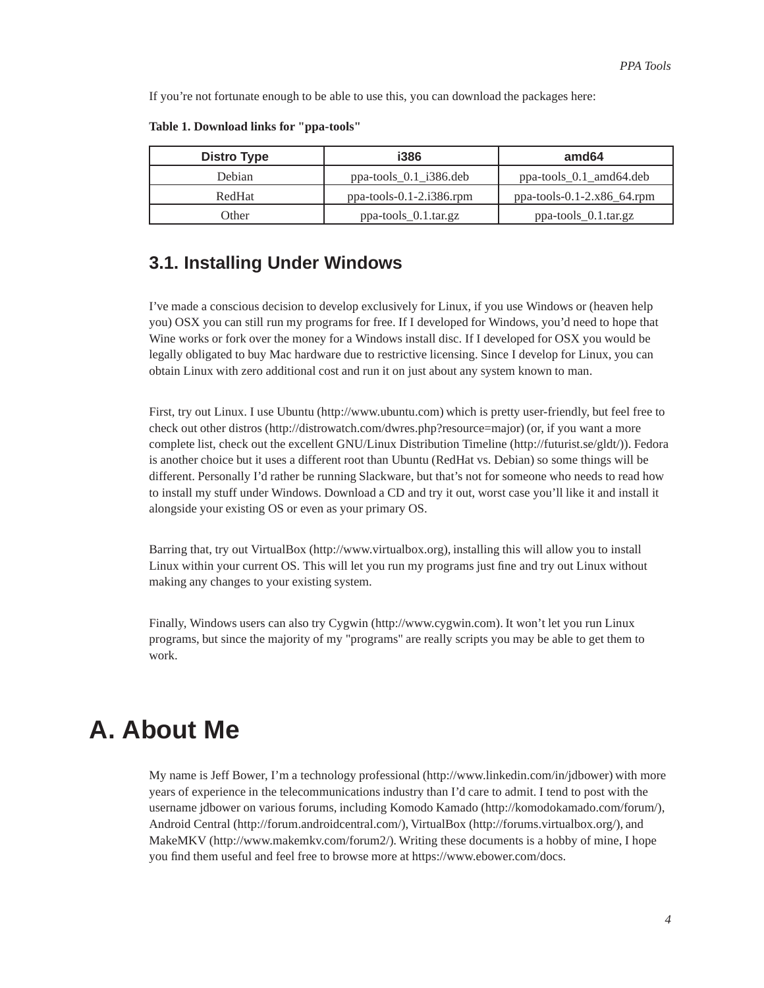If you're not fortunate enough to be able to use this, you can download the packages here:

| <b>Distro Type</b> | <b>i386</b>                              | amd <sub>64</sub>                |
|--------------------|------------------------------------------|----------------------------------|
| Debian             | $ppa\text{-}tools_0.1_1386.$ deb         | $ppa\text{-}tools_0.1_0.44.$ deb |
| RedHat             | $ppa\text{-}tools-0.1-2.1386\text{.rpm}$ | ppa-tools-0.1-2.x86_64.rpm       |
| <b>Other</b>       | ppa-tools_0.1.tar.gz                     | ppa-tools_0.1.tar.gz             |

**Table 1. Download links for "ppa-tools"**

#### **3.1. Installing Under Windows**

I've made a conscious decision to develop exclusively for Linux, if you use Windows or (heaven help you) OSX you can still run my programs for free. If I developed for Windows, you'd need to hope that Wine works or fork over the money for a Windows install disc. If I developed for OSX you would be legally obligated to buy Mac hardware due to restrictive licensing. Since I develop for Linux, you can obtain Linux with zero additional cost and run it on just about any system known to man.

First, try out Linux. I use Ubuntu (http://www.ubuntu.com) which is pretty user-friendly, but feel free to check out other distros (http://distrowatch.com/dwres.php?resource=major) (or, if you want a more complete list, check out the excellent GNU/Linux Distribution Timeline (http://futurist.se/gldt/)). Fedora is another choice but it uses a different root than Ubuntu (RedHat vs. Debian) so some things will be different. Personally I'd rather be running Slackware, but that's not for someone who needs to read how to install my stuff under Windows. Download a CD and try it out, worst case you'll like it and install it alongside your existing OS or even as your primary OS.

Barring that, try out VirtualBox (http://www.virtualbox.org), installing this will allow you to install Linux within your current OS. This will let you run my programs just fine and try out Linux without making any changes to your existing system.

Finally, Windows users can also try Cygwin (http://www.cygwin.com). It won't let you run Linux programs, but since the majority of my "programs" are really scripts you may be able to get them to work.

## **A. About Me**

My name is Jeff Bower, I'm a technology professional (http://www.linkedin.com/in/jdbower) with more years of experience in the telecommunications industry than I'd care to admit. I tend to post with the username jdbower on various forums, including Komodo Kamado (http://komodokamado.com/forum/), Android Central (http://forum.androidcentral.com/), VirtualBox (http://forums.virtualbox.org/), and MakeMKV (http://www.makemkv.com/forum2/). Writing these documents is a hobby of mine, I hope you find them useful and feel free to browse more at https://www.ebower.com/docs.